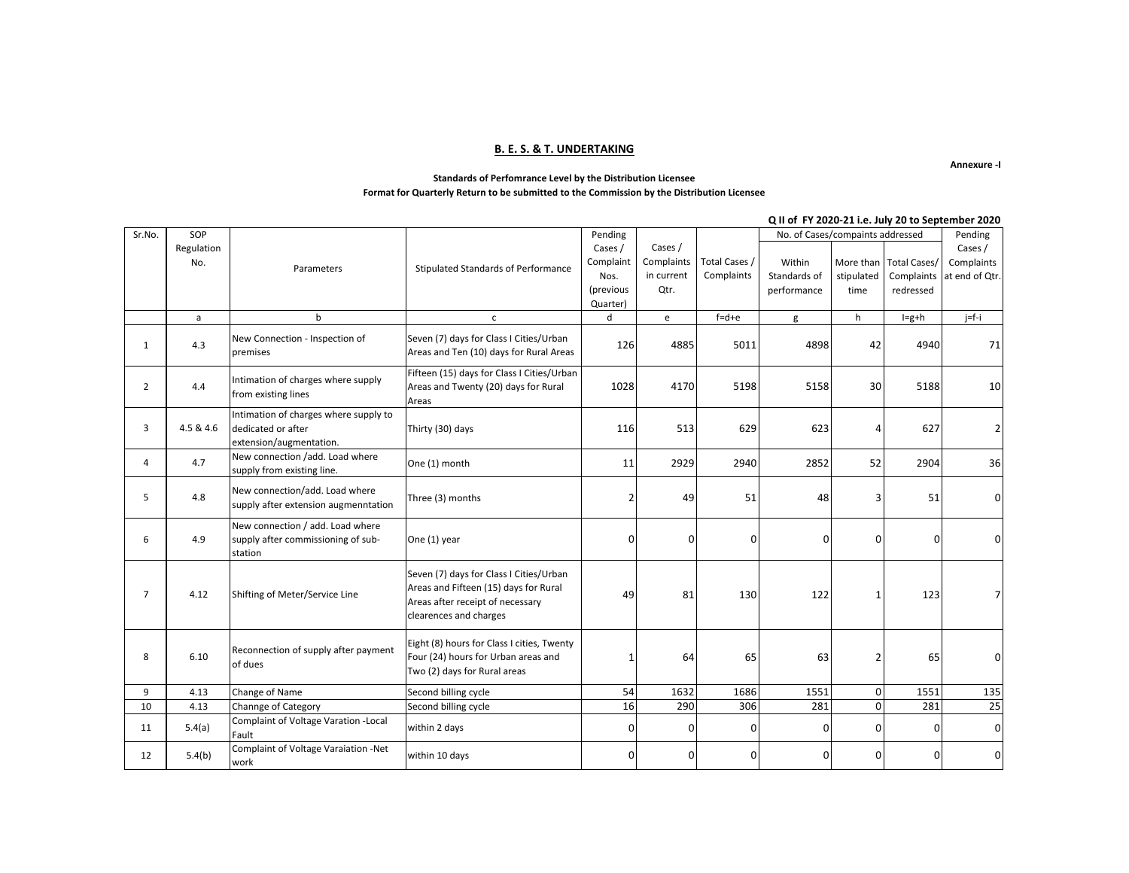#### **B. E. S. & T. UNDERTAKING**

**Annexure -I**

#### **Standards of Perfomrance Level by the Distribution Licensee Format for Quarterly Return to be submitted to the Commission by the Distribution Licensee**

#### Within Standards of performance More than stipulated time Total Cases/ Complaints redressed a b c d e f=d+e g h I=g+h j=f-i 1 4.3 New Connection - Inspection of premises Seven (7) days for Class I Cities/Urban Seven (7) days for Class TCitles/Urban (1988) 126 4885 5011 4898 4898 42 4940 71 2  $4.4$ Intimation of charges where supply from existing lines Fifteen (15) days for Class I Cities/Urban Areas and Twenty (20) days for Rural Areas 1028 4170 5198 5158 30 5188 10  $3 \mid 4.5 \& 4.6$ Intimation of charges where supply to dedicated or after extension/augmentation. Thirty (30) days 116 513 629 623 4 627 2 4 4.7 New connection /add. Load where supply from existing line.  $\begin{vmatrix} \text{One (1) month} \\ \text{Supply from existing line.} \end{vmatrix}$   $\begin{vmatrix} 11 & 2929 \\ 2940 & 2940 \end{vmatrix}$   $\begin{vmatrix} 2852 & 52 \\ 52 & 2904 \end{vmatrix}$  36 5 4.8 New connection/add. Load where supply after extension augmenntation  $\begin{vmatrix}$ Three (3) months 2 49 49 51 48 3 51 0 6 4.9 New connection / add. Load where supply after commissioning of substation One (1) year | 0 | 0 | 0 | 0 | 0 | 0 7 4.12 Shifting of Meter/Service Line Seven (7) days for Class I Cities/Urban Areas and Fifteen (15) days for Rural Areas after receipt of necessary clearences and charges 49 81 130 122 1 123 7 8 6.10 Reconnection of supply after payment of dues Eight (8) hours for Class I cities, Twenty Four (24) hours for Urban areas and Two (2) days for Rural areas 1 64 65 63 2 65 0 9 | 4.13 |Change of Name | Second billing cycle | 54 1632 1686 1551 1551 0 1551 135 10 | 4.13 Channge of Category | Second billing cycle 16 | 16 290 306 281 0 281 281 25 11 5.4(a) Complaint of Voltage Varation - Local  $F_{\text{Bullt}}$  (and the contract of control of  $\begin{bmatrix} 0 & 0 & 0 \end{bmatrix}$   $\begin{bmatrix} 0 & 0 & 0 \end{bmatrix}$   $\begin{bmatrix} 0 & 0 & 0 \end{bmatrix}$   $\begin{bmatrix} 0 & 0 & 0 \end{bmatrix}$   $\begin{bmatrix} 0 & 0 & 0 \end{bmatrix}$ Total Cases / Complaints No. of Cases/compaints addressed Pending Cases / Complaints at end of Qtr. SOP Regulation No. Sr.No. Parameters Pending Cases / Complaint Nos. (previous Quarter) Cases / Complaints in current Qtr. Stipulated Standards of Performance **Q II of FY 2020-21 i.e. July 20 to September 2020**

work within 10 days and the statement of the complement of the complement of the complement of the complement of  $\mathcal{O}$  and  $\mathcal{O}$  and  $\mathcal{O}$  and  $\mathcal{O}$  and  $\mathcal{O}$  and  $\mathcal{O}$  and  $\mathcal{O}$  and  $\mathcal{O}$  and  $\mathcal$ 

12 5.4(b) Complaint of Voltage Varaiation -Net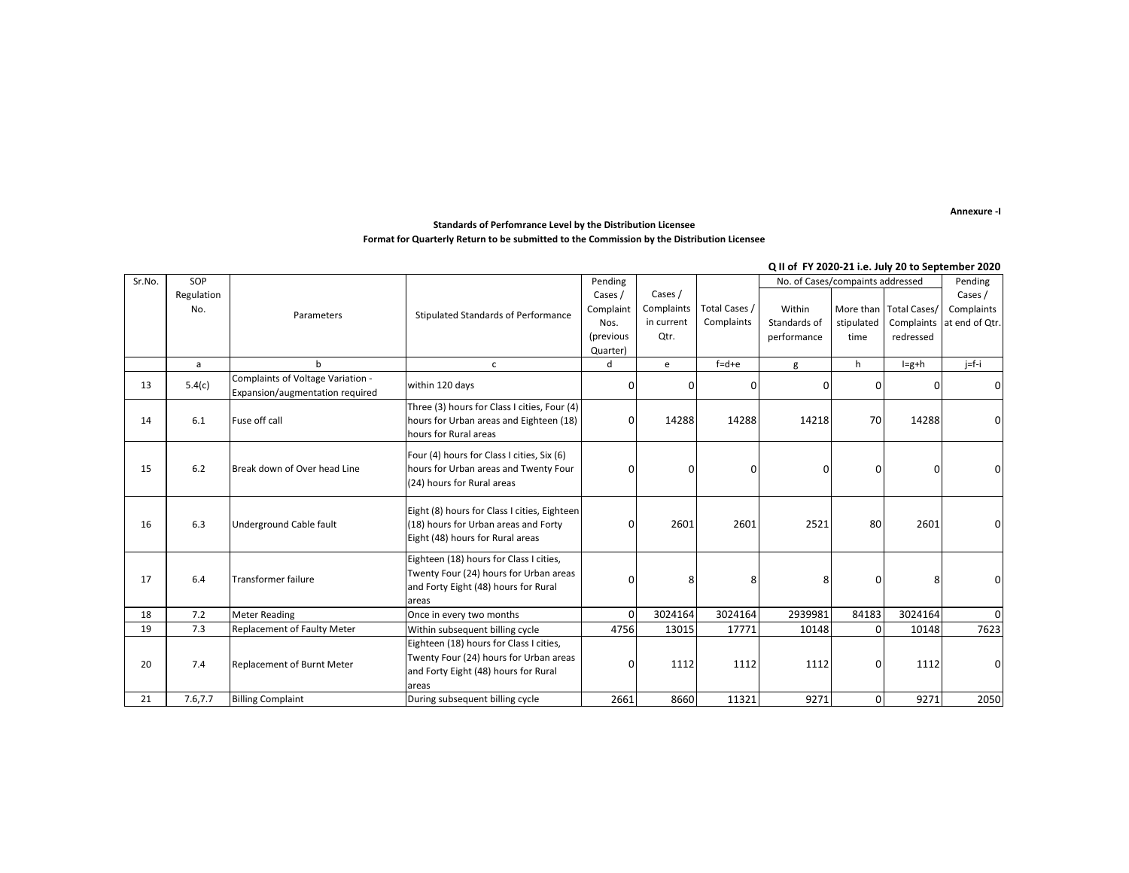**Annexure -I**

### **Standards of Perfomrance Level by the Distribution Licensee Format for Quarterly Return to be submitted to the Commission by the Distribution Licensee**

#### **Q II of FY 2020-21 i.e. July 20 to September 2020**

| Sr.No. | SOP        |                                                                      |                                                                                                                                    | Pending   |            |               | No. of Cases/compaints addressed |            |                        | Pending        |
|--------|------------|----------------------------------------------------------------------|------------------------------------------------------------------------------------------------------------------------------------|-----------|------------|---------------|----------------------------------|------------|------------------------|----------------|
|        | Regulation |                                                                      |                                                                                                                                    | Cases /   | Cases /    |               |                                  |            |                        | Cases /        |
|        | No.        | Parameters                                                           | Stipulated Standards of Performance                                                                                                | Complaint | Complaints | Total Cases / | Within                           |            | More than Total Cases/ | Complaints     |
|        |            |                                                                      |                                                                                                                                    | Nos.      | in current | Complaints    | Standards of                     | stipulated | Complaints             | at end of Otr. |
|        |            |                                                                      |                                                                                                                                    | (previous | Qtr.       |               | performance                      | time       | redressed              |                |
|        |            |                                                                      |                                                                                                                                    | Quarter)  |            |               |                                  |            |                        |                |
|        | a          | b                                                                    | $\mathsf{C}$                                                                                                                       | d         | e          | $f = d + e$   | g                                | h          | $I=g+h$                | $j=f-i$        |
| 13     | 5.4(c)     | Complaints of Voltage Variation -<br>Expansion/augmentation required | within 120 days                                                                                                                    | n         | n          | o             | $\Omega$                         | 0          | <sup>0</sup>           | $\mathbf{0}$   |
| 14     | 6.1        | Fuse off call                                                        | Three (3) hours for Class I cities, Four (4)<br>hours for Urban areas and Eighteen (18)<br>hours for Rural areas                   | O         | 14288      | 14288         | 14218                            | 70         | 14288                  | $\mathbf{0}$   |
| 15     | 6.2        | Break down of Over head Line                                         | Four (4) hours for Class I cities, Six (6)<br>hours for Urban areas and Twenty Four<br>(24) hours for Rural areas                  | 0         | $\Omega$   | $\Omega$      | $\Omega$                         | 0          | 0                      | $\Omega$       |
| 16     | 6.3        | Underground Cable fault                                              | Eight (8) hours for Class I cities, Eighteen<br>(18) hours for Urban areas and Forty<br>Eight (48) hours for Rural areas           | O         | 2601       | 2601          | 2521                             | 80         | 2601                   | $\Omega$       |
| 17     | 6.4        | <b>Transformer failure</b>                                           | Eighteen (18) hours for Class I cities,<br>Twenty Four (24) hours for Urban areas<br>and Forty Eight (48) hours for Rural<br>areas | O         | 8          | 8             | 8                                | $\Omega$   | 8                      | $\Omega$       |
| 18     | 7.2        | <b>Meter Reading</b>                                                 | Once in every two months                                                                                                           | O         | 3024164    | 3024164       | 2939981                          | 84183      | 3024164                | $\Omega$       |
| 19     | 7.3        | <b>Replacement of Faulty Meter</b>                                   | Within subsequent billing cycle                                                                                                    | 4756      | 13015      | 17771         | 10148                            | 0          | 10148                  | 7623           |
| 20     | 7.4        | <b>Replacement of Burnt Meter</b>                                    | Eighteen (18) hours for Class I cities,<br>Twenty Four (24) hours for Urban areas<br>and Forty Eight (48) hours for Rural<br>areas | O         | 1112       | 1112          | 1112                             | 0          | 1112                   | $\Omega$       |
| 21     | 7.6,7.7    | <b>Billing Complaint</b>                                             | During subsequent billing cycle                                                                                                    | 2661      | 8660       | 11321         | 9271                             | 0          | 9271                   | 2050           |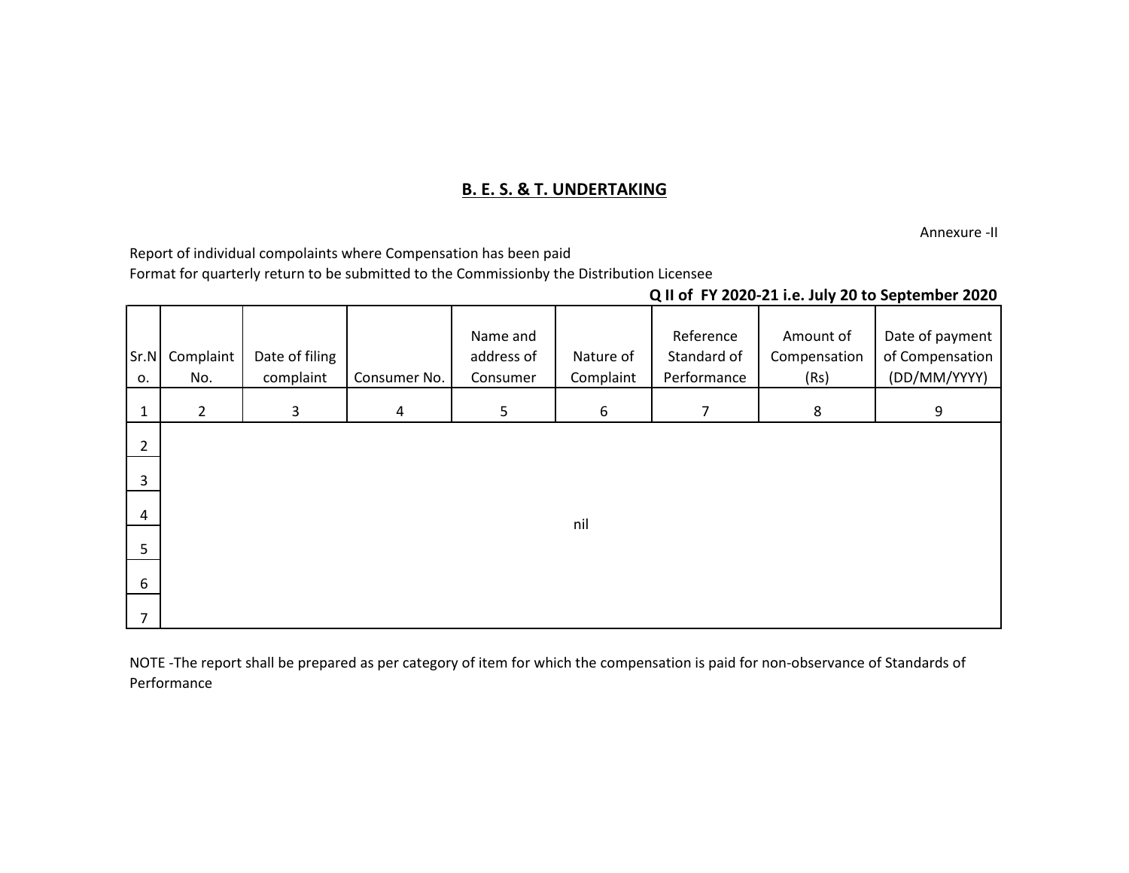# **B. E. S. & T. UNDERTAKING**

Annexure -II

Report of individual compolaints where Compensation has been paid

Format for quarterly return to be submitted to the Commissionby the Distribution Licensee

## **Q II of FY 2020-21 i.e. July 20 to September 2020**

| Sr.N<br>0.     | Complaint<br>No. | Date of filing<br>complaint | Consumer No.   | Name and<br>address of<br>Consumer | Nature of<br>Complaint | Reference<br>Standard of<br>Performance | Amount of<br>Compensation<br>(Rs) | Date of payment<br>of Compensation<br>(DD/MM/YYYY) |
|----------------|------------------|-----------------------------|----------------|------------------------------------|------------------------|-----------------------------------------|-----------------------------------|----------------------------------------------------|
| $\mathbf{1}$   | $\overline{2}$   | 3                           | $\overline{4}$ | $5\phantom{.}$                     | 6                      | $\overline{7}$                          | 8                                 | 9                                                  |
| $\overline{2}$ |                  |                             |                |                                    |                        |                                         |                                   |                                                    |
| $\overline{3}$ |                  |                             |                |                                    |                        |                                         |                                   |                                                    |
| $\overline{4}$ |                  |                             |                |                                    | nil                    |                                         |                                   |                                                    |
| 5              |                  |                             |                |                                    |                        |                                         |                                   |                                                    |
| 6              |                  |                             |                |                                    |                        |                                         |                                   |                                                    |
| $\overline{7}$ |                  |                             |                |                                    |                        |                                         |                                   |                                                    |

NOTE -The report shall be prepared as per category of item for which the compensation is paid for non-observance of Standards of Performance